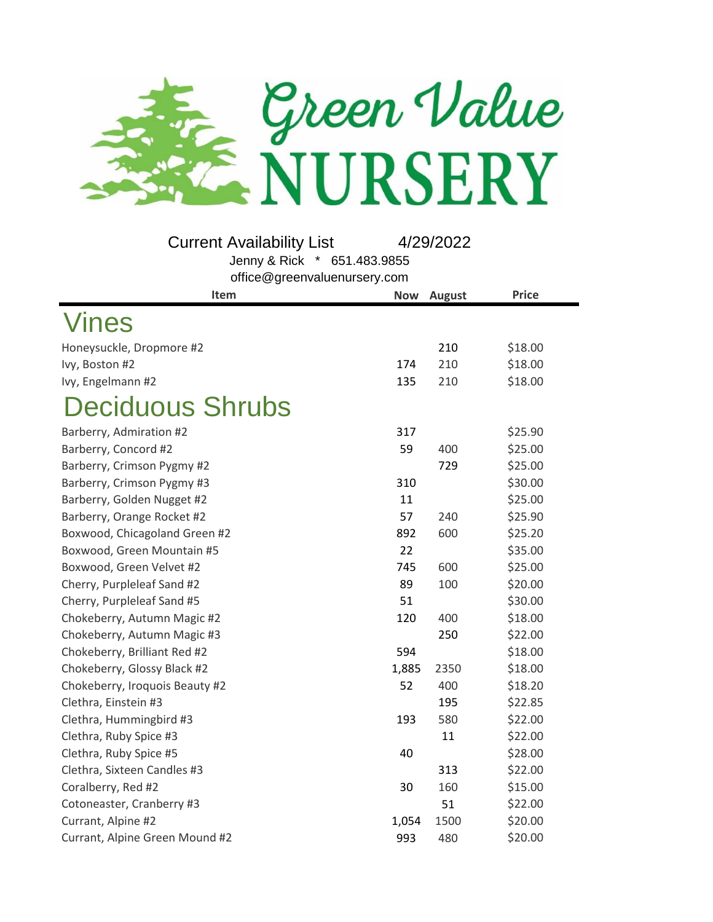

**Item Now** August **Price** Vines Honeysuckle, Dropmore #2 210 \$18.00 Ivy, Boston #2 174 210 \$18.00 Ivy, Engelmann #2 135 210 \$18.00 Deciduous Shrubs Barberry, Admiration #2 317 \$25.90 Barberry, Concord #2 59 400 \$25.00 Barberry, Crimson Pygmy #2 729 \$25.00 Barberry, Crimson Pygmy #3 310 \$30.00 Barberry, Golden Nugget #2 11 \$25.00 Barberry, Orange Rocket #2 57 240 \$25.90 Boxwood, Chicagoland Green #2 892 600 \$25.20 Boxwood, Green Mountain #5 22 \$35.00 Boxwood, Green Velvet #2 745 600 \$25.00 Cherry, Purpleleaf Sand #2 89 100 \$20.00 Cherry, Purpleleaf Sand #5 51 51 \$30.00 Chokeberry, Autumn Magic #2 120 120 400 \$18.00 Chokeberry, Autumn Magic #3 250 \$22.00 Chokeberry, Brilliant Red #2 594 594 \$18.00 Chokeberry, Glossy Black #2 1,885 2350 \$18.00 Chokeberry, Iroquois Beauty #2 52 400 \$18.20 Clethra, Einstein #3 195 \$22.85 Clethra, Hummingbird #3 193 580 \$22.00  $C$ lethra, Ruby Spice #3  $\frac{11}{22.00}$ Clethra, Ruby Spice #5 40 \$28.00 Clethra, Sixteen Candles #3 313 \$22.00 Coralberry, Red #2 30 160 \$15.00 Cotoneaster, Cranberry #3 51 \$22.00 Currant, Alpine #2 1,054 1500 \$20.00 Current Availability List 4/29/2022 Jenny & Rick \* 651.483.9855 office@greenvaluenursery.com

Currant, Alpine Green Mound #2 993 480 \$20.00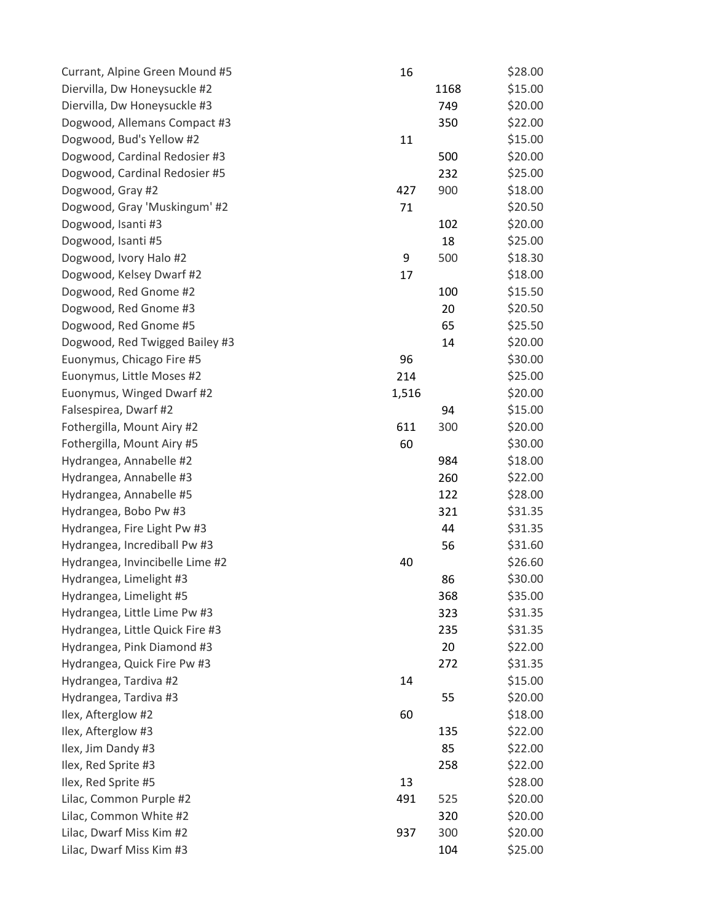| Currant, Alpine Green Mound #5  | 16    |      | \$28.00 |
|---------------------------------|-------|------|---------|
| Diervilla, Dw Honeysuckle #2    |       | 1168 | \$15.00 |
| Diervilla, Dw Honeysuckle #3    |       | 749  | \$20.00 |
| Dogwood, Allemans Compact #3    |       | 350  | \$22.00 |
| Dogwood, Bud's Yellow #2        | 11    |      | \$15.00 |
| Dogwood, Cardinal Redosier #3   |       | 500  | \$20.00 |
| Dogwood, Cardinal Redosier #5   |       | 232  | \$25.00 |
| Dogwood, Gray #2                | 427   | 900  | \$18.00 |
| Dogwood, Gray 'Muskingum' #2    | 71    |      | \$20.50 |
| Dogwood, Isanti #3              |       | 102  | \$20.00 |
| Dogwood, Isanti #5              |       | 18   | \$25.00 |
| Dogwood, Ivory Halo #2          | 9     | 500  | \$18.30 |
| Dogwood, Kelsey Dwarf #2        | 17    |      | \$18.00 |
| Dogwood, Red Gnome #2           |       | 100  | \$15.50 |
| Dogwood, Red Gnome #3           |       | 20   | \$20.50 |
| Dogwood, Red Gnome #5           |       | 65   | \$25.50 |
| Dogwood, Red Twigged Bailey #3  |       | 14   | \$20.00 |
| Euonymus, Chicago Fire #5       | 96    |      | \$30.00 |
| Euonymus, Little Moses #2       | 214   |      | \$25.00 |
| Euonymus, Winged Dwarf #2       | 1,516 |      | \$20.00 |
| Falsespirea, Dwarf #2           |       | 94   | \$15.00 |
| Fothergilla, Mount Airy #2      | 611   | 300  | \$20.00 |
| Fothergilla, Mount Airy #5      | 60    |      | \$30.00 |
| Hydrangea, Annabelle #2         |       | 984  | \$18.00 |
| Hydrangea, Annabelle #3         |       | 260  | \$22.00 |
| Hydrangea, Annabelle #5         |       | 122  | \$28.00 |
| Hydrangea, Bobo Pw #3           |       | 321  | \$31.35 |
| Hydrangea, Fire Light Pw #3     |       | 44   | \$31.35 |
| Hydrangea, Incrediball Pw #3    |       | 56   | \$31.60 |
| Hydrangea, Invincibelle Lime #2 | 40    |      | \$26.60 |
| Hydrangea, Limelight #3         |       | 86   | \$30.00 |
| Hydrangea, Limelight #5         |       | 368  | \$35.00 |
| Hydrangea, Little Lime Pw #3    |       | 323  | \$31.35 |
| Hydrangea, Little Quick Fire #3 |       | 235  | \$31.35 |
| Hydrangea, Pink Diamond #3      |       | 20   | \$22.00 |
| Hydrangea, Quick Fire Pw #3     |       | 272  | \$31.35 |
| Hydrangea, Tardiva #2           | 14    |      | \$15.00 |
| Hydrangea, Tardiva #3           |       | 55   | \$20.00 |
| Ilex, Afterglow #2              | 60    |      | \$18.00 |
| Ilex, Afterglow #3              |       | 135  | \$22.00 |
| Ilex, Jim Dandy #3              |       | 85   | \$22.00 |
| Ilex, Red Sprite #3             |       | 258  | \$22.00 |
| Ilex, Red Sprite #5             | 13    |      | \$28.00 |
| Lilac, Common Purple #2         | 491   | 525  | \$20.00 |
| Lilac, Common White #2          |       | 320  | \$20.00 |
| Lilac, Dwarf Miss Kim #2        | 937   | 300  | \$20.00 |
| Lilac, Dwarf Miss Kim #3        |       | 104  | \$25.00 |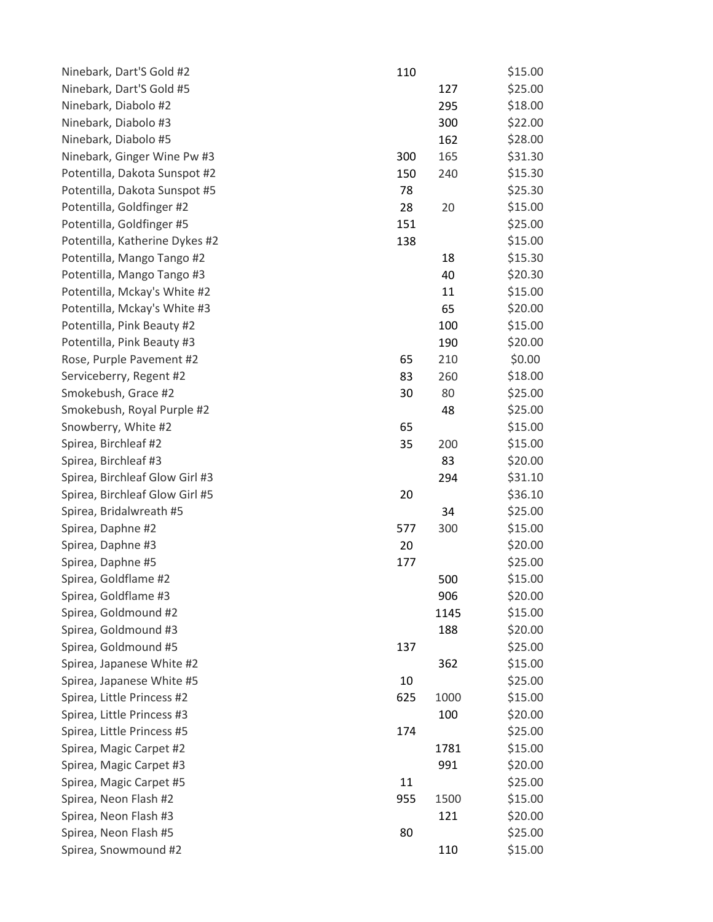| Ninebark, Dart'S Gold #2       | 110 |      | \$15.00 |
|--------------------------------|-----|------|---------|
| Ninebark, Dart'S Gold #5       |     | 127  | \$25.00 |
| Ninebark, Diabolo #2           |     | 295  | \$18.00 |
| Ninebark, Diabolo #3           |     | 300  | \$22.00 |
| Ninebark, Diabolo #5           |     | 162  | \$28.00 |
| Ninebark, Ginger Wine Pw #3    | 300 | 165  | \$31.30 |
| Potentilla, Dakota Sunspot #2  | 150 | 240  | \$15.30 |
| Potentilla, Dakota Sunspot #5  | 78  |      | \$25.30 |
| Potentilla, Goldfinger #2      | 28  | 20   | \$15.00 |
| Potentilla, Goldfinger #5      | 151 |      | \$25.00 |
| Potentilla, Katherine Dykes #2 | 138 |      | \$15.00 |
| Potentilla, Mango Tango #2     |     | 18   | \$15.30 |
| Potentilla, Mango Tango #3     |     | 40   | \$20.30 |
| Potentilla, Mckay's White #2   |     | 11   | \$15.00 |
| Potentilla, Mckay's White #3   |     | 65   | \$20.00 |
| Potentilla, Pink Beauty #2     |     | 100  | \$15.00 |
| Potentilla, Pink Beauty #3     |     | 190  | \$20.00 |
| Rose, Purple Pavement #2       | 65  | 210  | \$0.00  |
| Serviceberry, Regent #2        | 83  | 260  | \$18.00 |
| Smokebush, Grace #2            | 30  | 80   | \$25.00 |
| Smokebush, Royal Purple #2     |     | 48   | \$25.00 |
| Snowberry, White #2            | 65  |      | \$15.00 |
| Spirea, Birchleaf #2           | 35  | 200  | \$15.00 |
| Spirea, Birchleaf #3           |     | 83   | \$20.00 |
| Spirea, Birchleaf Glow Girl #3 |     | 294  | \$31.10 |
| Spirea, Birchleaf Glow Girl #5 | 20  |      | \$36.10 |
| Spirea, Bridalwreath #5        |     | 34   | \$25.00 |
| Spirea, Daphne #2              | 577 | 300  | \$15.00 |
| Spirea, Daphne #3              | 20  |      | \$20.00 |
| Spirea, Daphne #5              | 177 |      | \$25.00 |
| Spirea, Goldflame #2           |     | 500  | \$15.00 |
| Spirea, Goldflame #3           |     | 906  | \$20.00 |
| Spirea, Goldmound #2           |     | 1145 | \$15.00 |
| Spirea, Goldmound #3           |     | 188  | \$20.00 |
| Spirea, Goldmound #5           | 137 |      | \$25.00 |
| Spirea, Japanese White #2      |     | 362  | \$15.00 |
| Spirea, Japanese White #5      | 10  |      | \$25.00 |
| Spirea, Little Princess #2     | 625 | 1000 | \$15.00 |
| Spirea, Little Princess #3     |     | 100  | \$20.00 |
| Spirea, Little Princess #5     | 174 |      | \$25.00 |
| Spirea, Magic Carpet #2        |     | 1781 | \$15.00 |
| Spirea, Magic Carpet #3        |     | 991  | \$20.00 |
| Spirea, Magic Carpet #5        | 11  |      | \$25.00 |
| Spirea, Neon Flash #2          | 955 | 1500 | \$15.00 |
| Spirea, Neon Flash #3          |     | 121  | \$20.00 |
| Spirea, Neon Flash #5          | 80  |      | \$25.00 |
| Spirea, Snowmound #2           |     | 110  | \$15.00 |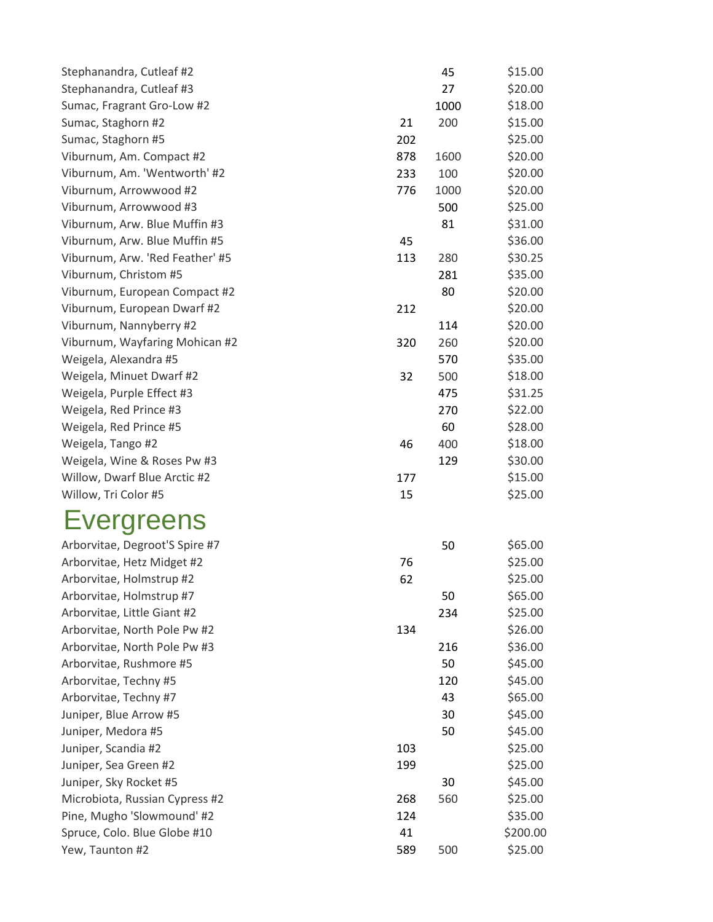| Stephanandra, Cutleaf #2        |     | 45   | \$15.00  |
|---------------------------------|-----|------|----------|
| Stephanandra, Cutleaf #3        |     | 27   | \$20.00  |
| Sumac, Fragrant Gro-Low #2      |     | 1000 | \$18.00  |
| Sumac, Staghorn #2              | 21  | 200  | \$15.00  |
| Sumac, Staghorn #5              | 202 |      | \$25.00  |
| Viburnum, Am. Compact #2        | 878 | 1600 | \$20.00  |
| Viburnum, Am. 'Wentworth' #2    | 233 | 100  | \$20.00  |
| Viburnum, Arrowwood #2          | 776 | 1000 | \$20.00  |
| Viburnum, Arrowwood #3          |     | 500  | \$25.00  |
| Viburnum, Arw. Blue Muffin #3   |     | 81   | \$31.00  |
| Viburnum, Arw. Blue Muffin #5   | 45  |      | \$36.00  |
| Viburnum, Arw. 'Red Feather' #5 | 113 | 280  | \$30.25  |
| Viburnum, Christom #5           |     | 281  | \$35.00  |
| Viburnum, European Compact #2   |     | 80   | \$20.00  |
| Viburnum, European Dwarf #2     | 212 |      | \$20.00  |
| Viburnum, Nannyberry #2         |     | 114  | \$20.00  |
| Viburnum, Wayfaring Mohican #2  | 320 | 260  | \$20.00  |
| Weigela, Alexandra #5           |     | 570  | \$35.00  |
| Weigela, Minuet Dwarf #2        | 32  | 500  | \$18.00  |
| Weigela, Purple Effect #3       |     | 475  | \$31.25  |
| Weigela, Red Prince #3          |     | 270  | \$22.00  |
| Weigela, Red Prince #5          |     | 60   | \$28.00  |
| Weigela, Tango #2               | 46  | 400  | \$18.00  |
| Weigela, Wine & Roses Pw #3     |     | 129  | \$30.00  |
| Willow, Dwarf Blue Arctic #2    | 177 |      | \$15.00  |
| Willow, Tri Color #5            | 15  |      | \$25.00  |
| <b>Evergreens</b>               |     |      |          |
| Arborvitae, Degroot'S Spire #7  |     | 50   | \$65.00  |
| Arborvitae, Hetz Midget #2      | 76  |      | \$25.00  |
| Arborvitae, Holmstrup #2        | 62  |      | \$25.00  |
| Arborvitae, Holmstrup #7        |     | 50   | \$65.00  |
| Arborvitae, Little Giant #2     |     | 234  | \$25.00  |
| Arborvitae, North Pole Pw #2    | 134 |      | \$26.00  |
| Arborvitae, North Pole Pw #3    |     | 216  | \$36.00  |
| Arborvitae, Rushmore #5         |     | 50   | \$45.00  |
| Arborvitae, Techny #5           |     | 120  | \$45.00  |
| Arborvitae, Techny #7           |     | 43   | \$65.00  |
| Juniper, Blue Arrow #5          |     | 30   | \$45.00  |
| Juniper, Medora #5              |     | 50   | \$45.00  |
| Juniper, Scandia #2             | 103 |      | \$25.00  |
| Juniper, Sea Green #2           | 199 |      | \$25.00  |
| Juniper, Sky Rocket #5          |     | 30   | \$45.00  |
| Microbiota, Russian Cypress #2  | 268 | 560  | \$25.00  |
| Pine, Mugho 'Slowmound' #2      | 124 |      | \$35.00  |
| Spruce, Colo. Blue Globe #10    | 41  |      | \$200.00 |
| Yew, Taunton #2                 | 589 | 500  | \$25.00  |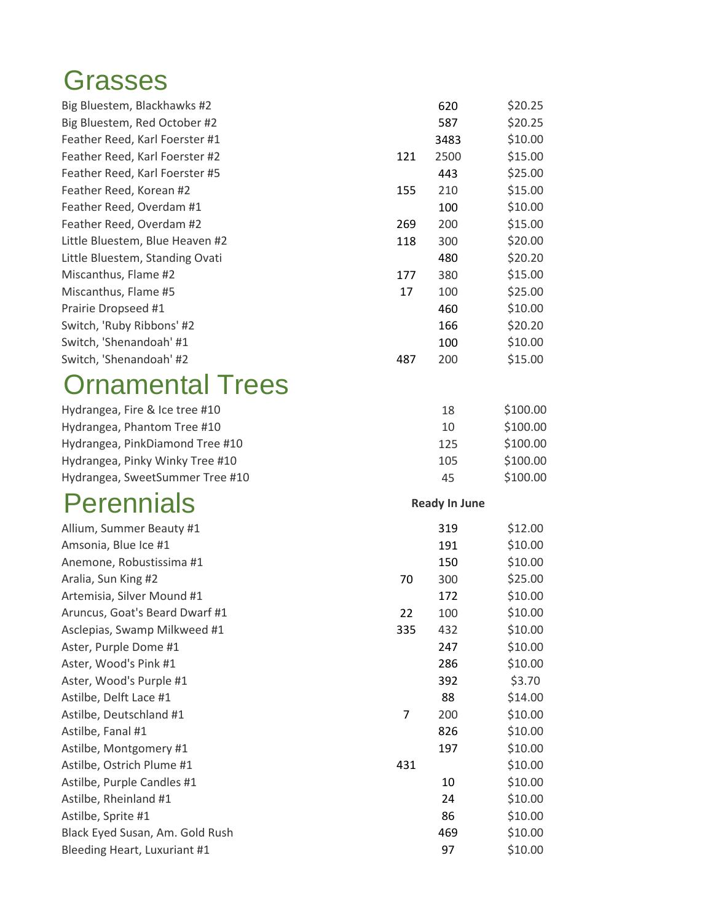## Grasses

| Big Bluestem, Blackhawks #2     |     | 620                  | \$20.25  |
|---------------------------------|-----|----------------------|----------|
| Big Bluestem, Red October #2    |     | 587                  | \$20.25  |
| Feather Reed, Karl Foerster #1  |     | 3483                 | \$10.00  |
| Feather Reed, Karl Foerster #2  | 121 | 2500                 | \$15.00  |
| Feather Reed, Karl Foerster #5  |     | 443                  | \$25.00  |
| Feather Reed, Korean #2         | 155 | 210                  | \$15.00  |
| Feather Reed, Overdam #1        |     | 100                  | \$10.00  |
| Feather Reed, Overdam #2        | 269 | 200                  | \$15.00  |
| Little Bluestem, Blue Heaven #2 | 118 | 300                  | \$20.00  |
| Little Bluestem, Standing Ovati |     | 480                  | \$20.20  |
| Miscanthus, Flame #2            | 177 | 380                  | \$15.00  |
| Miscanthus, Flame #5            | 17  | 100                  | \$25.00  |
| Prairie Dropseed #1             |     | 460                  | \$10.00  |
| Switch, 'Ruby Ribbons' #2       |     | 166                  | \$20.20  |
| Switch, 'Shenandoah' #1         |     | 100                  | \$10.00  |
| Switch, 'Shenandoah' #2         | 487 | 200                  | \$15.00  |
| <b>Ornamental Trees</b>         |     |                      |          |
| Hydrangea, Fire & Ice tree #10  |     | 18                   | \$100.00 |
| Hydrangea, Phantom Tree #10     |     | 10                   | \$100.00 |
| Hydrangea, PinkDiamond Tree #10 |     | 125                  | \$100.00 |
| Hydrangea, Pinky Winky Tree #10 |     | 105                  | \$100.00 |
| Hydrangea, SweetSummer Tree #10 |     | 45                   | \$100.00 |
| <b>Perennials</b>               |     | <b>Ready In June</b> |          |
| Allium, Summer Beauty #1        |     | 319                  | \$12.00  |
| Amsonia, Blue Ice #1            |     | 191                  | \$10.00  |
| Anemone, Robustissima #1        |     | 150                  | \$10.00  |
| Aralia, Sun King #2             | 70  | 300                  | \$25.00  |
| Artemisia, Silver Mound #1      |     | 172                  | \$10.00  |
| Aruncus, Goat's Beard Dwarf #1  | 22  | 100                  | \$10.00  |
| Asclepias, Swamp Milkweed #1    | 335 | 432                  | \$10.00  |
| Aster, Purple Dome #1           |     | 247                  | \$10.00  |
| Aster, Wood's Pink #1           |     | 286                  | \$10.00  |
| Aster, Wood's Purple #1         |     | 392                  | \$3.70   |
| Astilbe, Delft Lace #1          |     | 88                   | \$14.00  |
| Astilbe, Deutschland #1         | 7   | 200                  | \$10.00  |
| Astilbe, Fanal #1               |     | 826                  | \$10.00  |
| Astilbe, Montgomery #1          |     | 197                  | \$10.00  |
| Astilbe, Ostrich Plume #1       | 431 |                      | \$10.00  |
| Astilbe, Purple Candles #1      |     | 10                   | \$10.00  |
| Astilbe, Rheinland #1           |     | 24                   | \$10.00  |
| Astilbe, Sprite #1              |     | 86                   | \$10.00  |
| Black Eyed Susan, Am. Gold Rush |     | 469                  | \$10.00  |
| Bleeding Heart, Luxuriant #1    |     | 97                   | \$10.00  |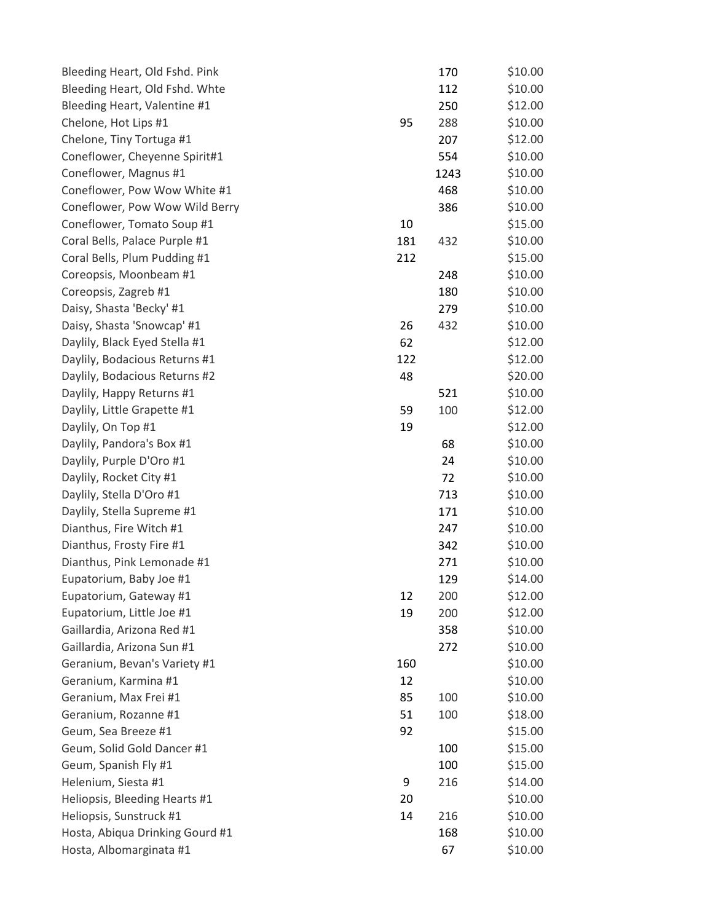| Bleeding Heart, Old Fshd. Pink  |     | 170  | \$10.00 |
|---------------------------------|-----|------|---------|
| Bleeding Heart, Old Fshd. Whte  |     | 112  | \$10.00 |
| Bleeding Heart, Valentine #1    |     | 250  | \$12.00 |
| Chelone, Hot Lips #1            | 95  | 288  | \$10.00 |
| Chelone, Tiny Tortuga #1        |     | 207  | \$12.00 |
| Coneflower, Cheyenne Spirit#1   |     | 554  | \$10.00 |
| Coneflower, Magnus #1           |     | 1243 | \$10.00 |
| Coneflower, Pow Wow White #1    |     | 468  | \$10.00 |
| Coneflower, Pow Wow Wild Berry  |     | 386  | \$10.00 |
| Coneflower, Tomato Soup #1      | 10  |      | \$15.00 |
| Coral Bells, Palace Purple #1   | 181 | 432  | \$10.00 |
| Coral Bells, Plum Pudding #1    | 212 |      | \$15.00 |
| Coreopsis, Moonbeam #1          |     | 248  | \$10.00 |
| Coreopsis, Zagreb #1            |     | 180  | \$10.00 |
| Daisy, Shasta 'Becky' #1        |     | 279  | \$10.00 |
| Daisy, Shasta 'Snowcap' #1      | 26  | 432  | \$10.00 |
| Daylily, Black Eyed Stella #1   | 62  |      | \$12.00 |
| Daylily, Bodacious Returns #1   | 122 |      | \$12.00 |
| Daylily, Bodacious Returns #2   | 48  |      | \$20.00 |
| Daylily, Happy Returns #1       |     | 521  | \$10.00 |
| Daylily, Little Grapette #1     | 59  | 100  | \$12.00 |
| Daylily, On Top #1              | 19  |      | \$12.00 |
| Daylily, Pandora's Box #1       |     | 68   | \$10.00 |
| Daylily, Purple D'Oro #1        |     | 24   | \$10.00 |
| Daylily, Rocket City #1         |     | 72   | \$10.00 |
| Daylily, Stella D'Oro #1        |     | 713  | \$10.00 |
| Daylily, Stella Supreme #1      |     | 171  | \$10.00 |
| Dianthus, Fire Witch #1         |     | 247  | \$10.00 |
| Dianthus, Frosty Fire #1        |     | 342  | \$10.00 |
| Dianthus, Pink Lemonade #1      |     | 271  | \$10.00 |
| Eupatorium, Baby Joe #1         |     | 129  | \$14.00 |
| Eupatorium, Gateway #1          | 12  | 200  | \$12.00 |
| Eupatorium, Little Joe #1       | 19  | 200  | \$12.00 |
| Gaillardia, Arizona Red #1      |     | 358  | \$10.00 |
| Gaillardia, Arizona Sun #1      |     | 272  | \$10.00 |
| Geranium, Bevan's Variety #1    | 160 |      | \$10.00 |
| Geranium, Karmina #1            | 12  |      | \$10.00 |
| Geranium, Max Frei #1           | 85  | 100  | \$10.00 |
| Geranium, Rozanne #1            | 51  | 100  | \$18.00 |
| Geum, Sea Breeze #1             | 92  |      | \$15.00 |
| Geum, Solid Gold Dancer #1      |     | 100  | \$15.00 |
| Geum, Spanish Fly #1            |     | 100  | \$15.00 |
| Helenium, Siesta #1             | 9   | 216  | \$14.00 |
| Heliopsis, Bleeding Hearts #1   | 20  |      | \$10.00 |
| Heliopsis, Sunstruck #1         | 14  | 216  | \$10.00 |
| Hosta, Abiqua Drinking Gourd #1 |     | 168  | \$10.00 |
| Hosta, Albomarginata #1         |     | 67   | \$10.00 |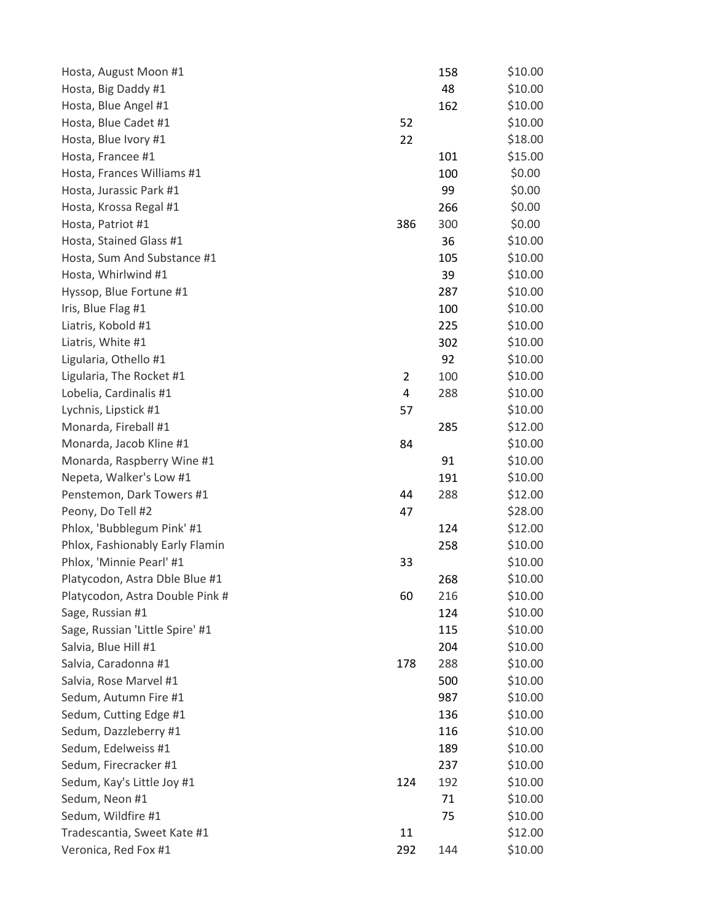| Hosta, August Moon #1           |                | 158 | \$10.00 |
|---------------------------------|----------------|-----|---------|
| Hosta, Big Daddy #1             |                | 48  | \$10.00 |
| Hosta, Blue Angel #1            |                | 162 | \$10.00 |
| Hosta, Blue Cadet #1            | 52             |     | \$10.00 |
| Hosta, Blue Ivory #1            | 22             |     | \$18.00 |
| Hosta, Francee #1               |                | 101 | \$15.00 |
| Hosta, Frances Williams #1      |                | 100 | \$0.00  |
| Hosta, Jurassic Park #1         |                | 99  | \$0.00  |
| Hosta, Krossa Regal #1          |                | 266 | \$0.00  |
| Hosta, Patriot #1               | 386            | 300 | \$0.00  |
| Hosta, Stained Glass #1         |                | 36  | \$10.00 |
| Hosta, Sum And Substance #1     |                | 105 | \$10.00 |
| Hosta, Whirlwind #1             |                | 39  | \$10.00 |
| Hyssop, Blue Fortune #1         |                | 287 | \$10.00 |
| Iris, Blue Flag #1              |                | 100 | \$10.00 |
| Liatris, Kobold #1              |                | 225 | \$10.00 |
| Liatris, White #1               |                | 302 | \$10.00 |
| Ligularia, Othello #1           |                | 92  | \$10.00 |
| Ligularia, The Rocket #1        | $\overline{2}$ | 100 | \$10.00 |
| Lobelia, Cardinalis #1          | 4              | 288 | \$10.00 |
| Lychnis, Lipstick #1            | 57             |     | \$10.00 |
| Monarda, Fireball #1            |                | 285 | \$12.00 |
| Monarda, Jacob Kline #1         | 84             |     | \$10.00 |
| Monarda, Raspberry Wine #1      |                | 91  | \$10.00 |
| Nepeta, Walker's Low #1         |                | 191 | \$10.00 |
| Penstemon, Dark Towers #1       | 44             | 288 | \$12.00 |
| Peony, Do Tell #2               | 47             |     | \$28.00 |
| Phlox, 'Bubblegum Pink' #1      |                | 124 | \$12.00 |
| Phlox, Fashionably Early Flamin |                | 258 | \$10.00 |
| Phlox, 'Minnie Pearl' #1        | 33             |     | \$10.00 |
| Platycodon, Astra Dble Blue #1  |                | 268 | \$10.00 |
| Platycodon, Astra Double Pink # | 60             | 216 | \$10.00 |
| Sage, Russian #1                |                | 124 | \$10.00 |
| Sage, Russian 'Little Spire' #1 |                | 115 | \$10.00 |
| Salvia, Blue Hill #1            |                | 204 | \$10.00 |
| Salvia, Caradonna #1            | 178            | 288 | \$10.00 |
| Salvia, Rose Marvel #1          |                | 500 | \$10.00 |
| Sedum, Autumn Fire #1           |                | 987 | \$10.00 |
| Sedum, Cutting Edge #1          |                | 136 | \$10.00 |
| Sedum, Dazzleberry #1           |                | 116 | \$10.00 |
| Sedum, Edelweiss #1             |                | 189 | \$10.00 |
| Sedum, Firecracker #1           |                | 237 | \$10.00 |
| Sedum, Kay's Little Joy #1      | 124            | 192 | \$10.00 |
| Sedum, Neon #1                  |                | 71  | \$10.00 |
| Sedum, Wildfire #1              |                | 75  | \$10.00 |
| Tradescantia, Sweet Kate #1     | 11             |     | \$12.00 |
| Veronica, Red Fox #1            | 292            | 144 | \$10.00 |